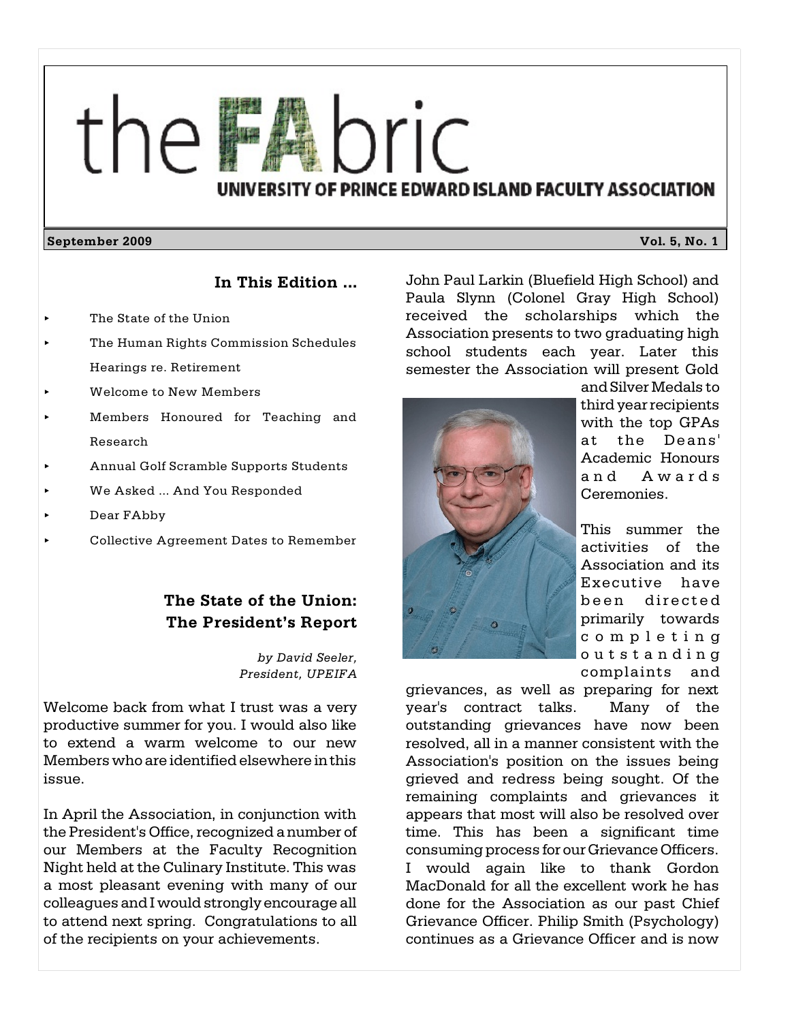

#### **September 2009 Vol. 5, No. 1**

#### **In This Edition ...**

- The State of the Union
- < The Human Rights Commission Schedules Hearings re. Retirement
- < Welcome to New Members
- < Members Honoured for Teaching and Research
- < Annual Golf Scramble Supports Students
- We Asked ... And You Responded
- < Dear FAbby
- < Collective Agreement Dates to Remember

# **The State of the Union: The President's Report**

*by David Seeler, President, UPEIFA*

Welcome back from what I trust was a very productive summer for you. I would also like to extend a warm welcome to our new Members who are identified elsewhere in this issue.

In April the Association, in conjunction with the President's Office, recognized a number of our Members at the Faculty Recognition Night held at the Culinary Institute. This was a most pleasant evening with many of our colleagues and I would strongly encourage all to attend next spring. Congratulations to all of the recipients on your achievements.

John Paul Larkin (Bluefield High School) and Paula Slynn (Colonel Gray High School) received the scholarships which the Association presents to two graduating high school students each year. Later this semester the Association will present Gold



andSilver Medals to third year recipients with the top GPAs at the Deans' Academic Honours and Awa rds Ceremonies.

This summer the activities of the Association and its Executive have been directed primarily towards com p l e t ing o u t s t a n d ing complaints and

grievances, as well as preparing for next year's contract talks. Many of the outstanding grievances have now been resolved, all in a manner consistent with the Association's position on the issues being grieved and redress being sought. Of the remaining complaints and grievances it appears that most will also be resolved over time. This has been a significant time consuming process for our Grievance Officers. I would again like to thank Gordon MacDonald for all the excellent work he has done for the Association as our past Chief Grievance Officer. Philip Smith (Psychology) continues as a Grievance Officer and is now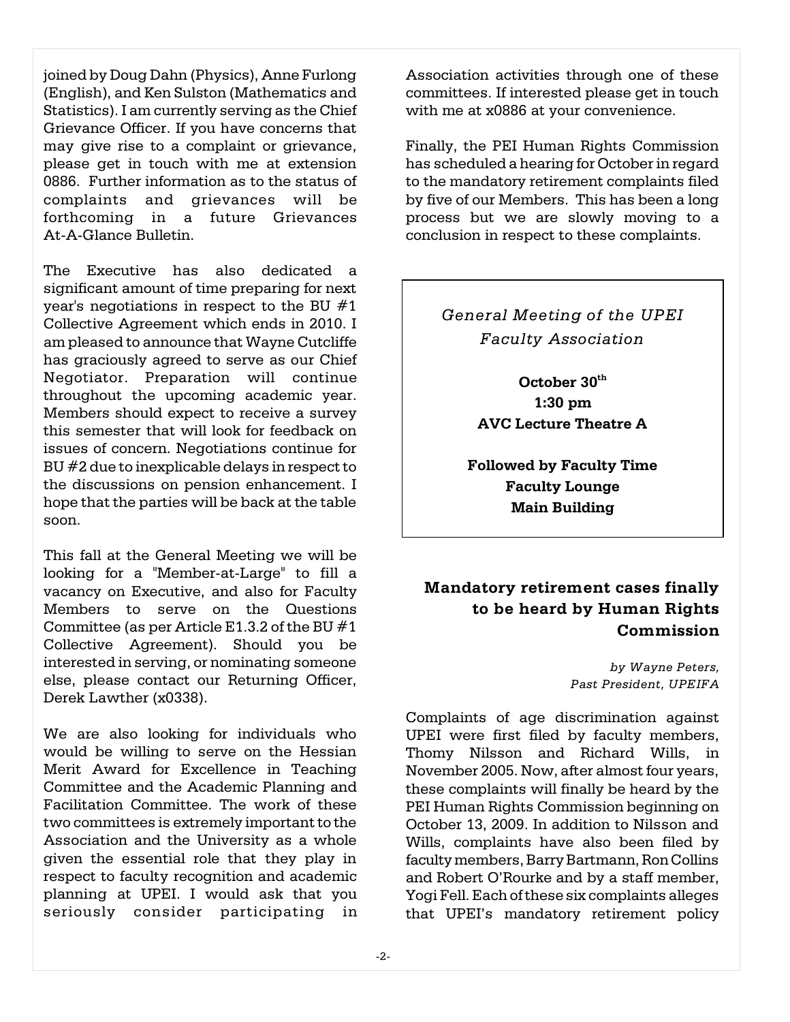joined by Doug Dahn (Physics), Anne Furlong (English), and Ken Sulston (Mathematics and Statistics). I am currently serving as the Chief Grievance Officer. If you have concerns that may give rise to a complaint or grievance, please get in touch with me at extension 0886. Further information as to the status of complaints and grievances will be forthcoming in a future Grievances At-A-Glance Bulletin.

The Executive has also dedicated a significant amount of time preparing for next year's negotiations in respect to the BU #1 Collective Agreement which ends in 2010. I am pleased to announce that Wayne Cutcliffe has graciously agreed to serve as our Chief Negotiator. Preparation will continue throughout the upcoming academic year. Members should expect to receive a survey this semester that will look for feedback on issues of concern. Negotiations continue for BU #2 due to inexplicable delays in respect to the discussions on pension enhancement. I hope that the parties will be back at the table soon.

This fall at the General Meeting we will be looking for a "Member-at-Large" to fill a vacancy on Executive, and also for Faculty Members to serve on the Questions Committee (as per Article E1.3.2 of the BU #1 Collective Agreement). Should you be interested in serving, or nominating someone else, please contact our Returning Officer, Derek Lawther (x0338).

We are also looking for individuals who would be willing to serve on the Hessian Merit Award for Excellence in Teaching Committee and the Academic Planning and Facilitation Committee. The work of these two committees is extremely important to the Association and the University as a whole given the essential role that they play in respect to faculty recognition and academic planning at UPEI. I would ask that you seriously consider participating in Association activities through one of these committees. If interested please get in touch with me at x0886 at your convenience.

Finally, the PEI Human Rights Commission has scheduled a hearing for October in regard to the mandatory retirement complaints filed by five of our Members. This has been a long process but we are slowly moving to a conclusion in respect to these complaints.

# *General Meeting of the UPEI Faculty Association*

**October 30th 1:30 pm AVC Lecture Theatre A**

**Followed by Faculty Time Faculty Lounge Main Building**

# **Mandatory retirement cases finally to be heard by Human Rights Commission**

*by Wayne Peters, Past President, UPEIFA*

Complaints of age discrimination against UPEI were first filed by faculty members, Thomy Nilsson and Richard Wills, in November 2005. Now, after almost four years, these complaints will finally be heard by the PEI Human Rights Commission beginning on October 13, 2009. In addition to Nilsson and Wills, complaints have also been filed by faculty members, Barry Bartmann, Ron Collins and Robert O'Rourke and by a staff member, Yogi Fell. Each of these six complaints alleges that UPEI's mandatory retirement policy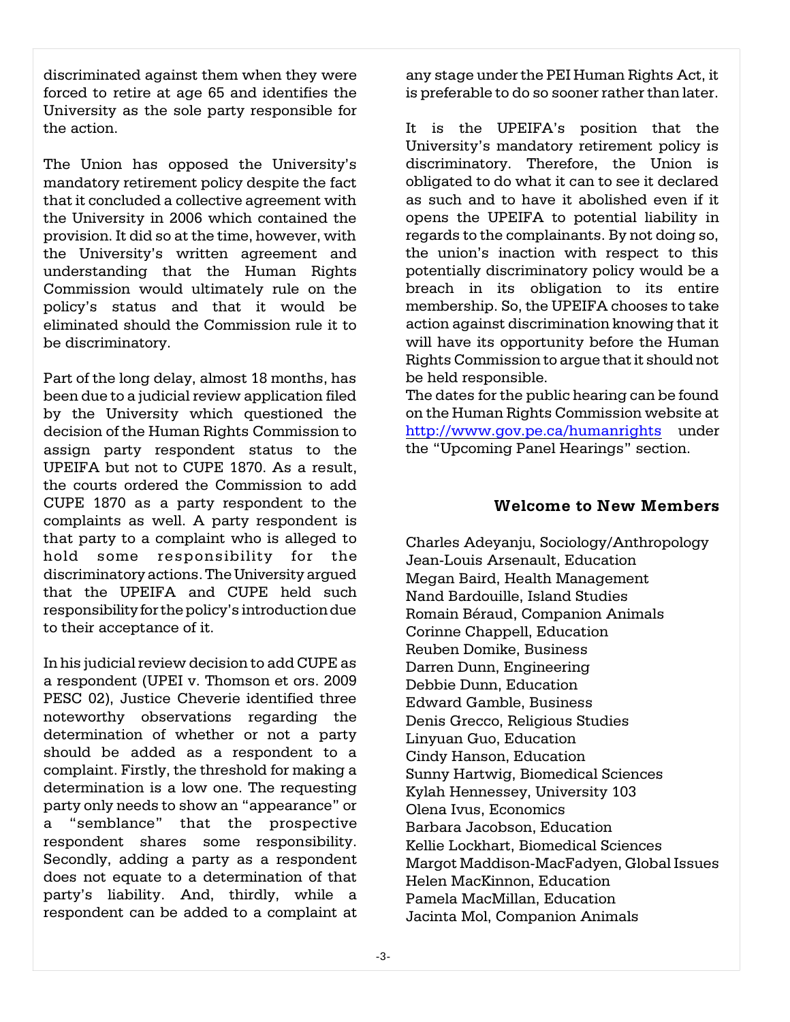discriminated against them when they were forced to retire at age 65 and identifies the University as the sole party responsible for the action.

The Union has opposed the University's mandatory retirement policy despite the fact that it concluded a collective agreement with the University in 2006 which contained the provision. It did so at the time, however, with the University's written agreement and understanding that the Human Rights Commission would ultimately rule on the policy's status and that it would be eliminated should the Commission rule it to be discriminatory.

Part of the long delay, almost 18 months, has been due to a judicial review application filed by the University which questioned the decision of the Human Rights Commission to assign party respondent status to the UPEIFA but not to CUPE 1870. As a result, the courts ordered the Commission to add CUPE 1870 as a party respondent to the complaints as well. A party respondent is that party to a complaint who is alleged to hold some responsibility for the discriminatory actions. The University argued that the UPEIFA and CUPE held such responsibility for the policy's introduction due to their acceptance of it.

In his judicial review decision to add CUPE as a respondent (UPEI v. Thomson et ors. 2009 PESC 02), Justice Cheverie identified three noteworthy observations regarding the determination of whether or not a party should be added as a respondent to a complaint. Firstly, the threshold for making a determination is a low one. The requesting party only needs to show an "appearance" or a "semblance" that the prospective respondent shares some responsibility. Secondly, adding a party as a respondent does not equate to a determination of that party's liability. And, thirdly, while a respondent can be added to a complaint at

any stage under the PEI Human Rights Act, it is preferable to do so sooner rather than later.

It is the UPEIFA's position that the University's mandatory retirement policy is discriminatory. Therefore, the Union is obligated to do what it can to see it declared as such and to have it abolished even if it opens the UPEIFA to potential liability in regards to the complainants. By not doing so, the union's inaction with respect to this potentially discriminatory policy would be a breach in its obligation to its entire membership. So, the UPEIFA chooses to take action against discrimination knowing that it will have its opportunity before the Human Rights Commission to argue that it should not be held responsible.

The dates for the public hearing can be found on the Human Rights Commission website at <http://www.gov.pe.ca/humanrights> under the "Upcoming Panel Hearings" section.

## **Welcome to New Members**

Charles Adeyanju, Sociology/Anthropology Jean-Louis Arsenault, Education Megan Baird, Health Management Nand Bardouille, Island Studies Romain Béraud, Companion Animals Corinne Chappell, Education Reuben Domike, Business Darren Dunn, Engineering Debbie Dunn, Education Edward Gamble, Business Denis Grecco, Religious Studies Linyuan Guo, Education Cindy Hanson, Education Sunny Hartwig, Biomedical Sciences Kylah Hennessey, University 103 Olena Ivus, Economics Barbara Jacobson, Education Kellie Lockhart, Biomedical Sciences Margot Maddison-MacFadyen, Global Issues Helen MacKinnon, Education Pamela MacMillan, Education Jacinta Mol, Companion Animals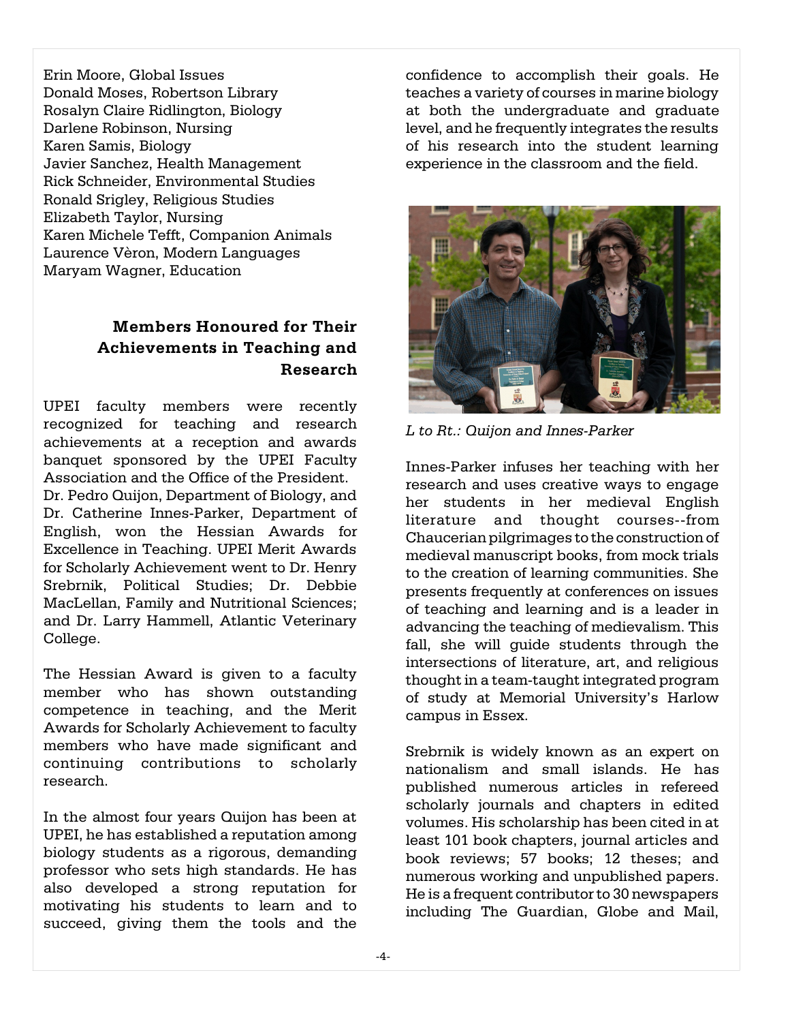Erin Moore, Global Issues Donald Moses, Robertson Library Rosalyn Claire Ridlington, Biology Darlene Robinson, Nursing Karen Samis, Biology Javier Sanchez, Health Management Rick Schneider, Environmental Studies Ronald Srigley, Religious Studies Elizabeth Taylor, Nursing Karen Michele Tefft, Companion Animals Laurence Vèron, Modern Languages Maryam Wagner, Education

# **Members Honoured for Their Achievements in Teaching and Research**

UPEI faculty members were recently recognized for teaching and research achievements at a reception and awards banquet sponsored by the UPEI Faculty Association and the Office of the President. Dr. Pedro Quijon, Department of Biology, and Dr. Catherine Innes-Parker, Department of English, won the Hessian Awards for Excellence in Teaching. UPEI Merit Awards for Scholarly Achievement went to Dr. Henry Srebrnik, Political Studies; Dr. Debbie MacLellan, Family and Nutritional Sciences; and Dr. Larry Hammell, Atlantic Veterinary College.

The Hessian Award is given to a faculty member who has shown outstanding competence in teaching, and the Merit Awards for Scholarly Achievement to faculty members who have made significant and continuing contributions to scholarly research.

In the almost four years Quijon has been at UPEI, he has established a reputation among biology students as a rigorous, demanding professor who sets high standards. He has also developed a strong reputation for motivating his students to learn and to succeed, giving them the tools and the

confidence to accomplish their goals. He teaches a variety of courses in marine biology at both the undergraduate and graduate level, and he frequently integrates the results of his research into the student learning experience in the classroom and the field.



*L to Rt.: Quijon and Innes-Parker*

Innes-Parker infuses her teaching with her research and uses creative ways to engage her students in her medieval English literature and thought courses--from Chaucerian pilgrimages to the construction of medieval manuscript books, from mock trials to the creation of learning communities. She presents frequently at conferences on issues of teaching and learning and is a leader in advancing the teaching of medievalism. This fall, she will guide students through the intersections of literature, art, and religious thought in a team-taught integrated program of study at Memorial University's Harlow campus in Essex.

Srebrnik is widely known as an expert on nationalism and small islands. He has published numerous articles in refereed scholarly journals and chapters in edited volumes. His scholarship has been cited in at least 101 book chapters, journal articles and book reviews; 57 books; 12 theses; and numerous working and unpublished papers. He is a frequent contributor to 30 newspapers including The Guardian, Globe and Mail,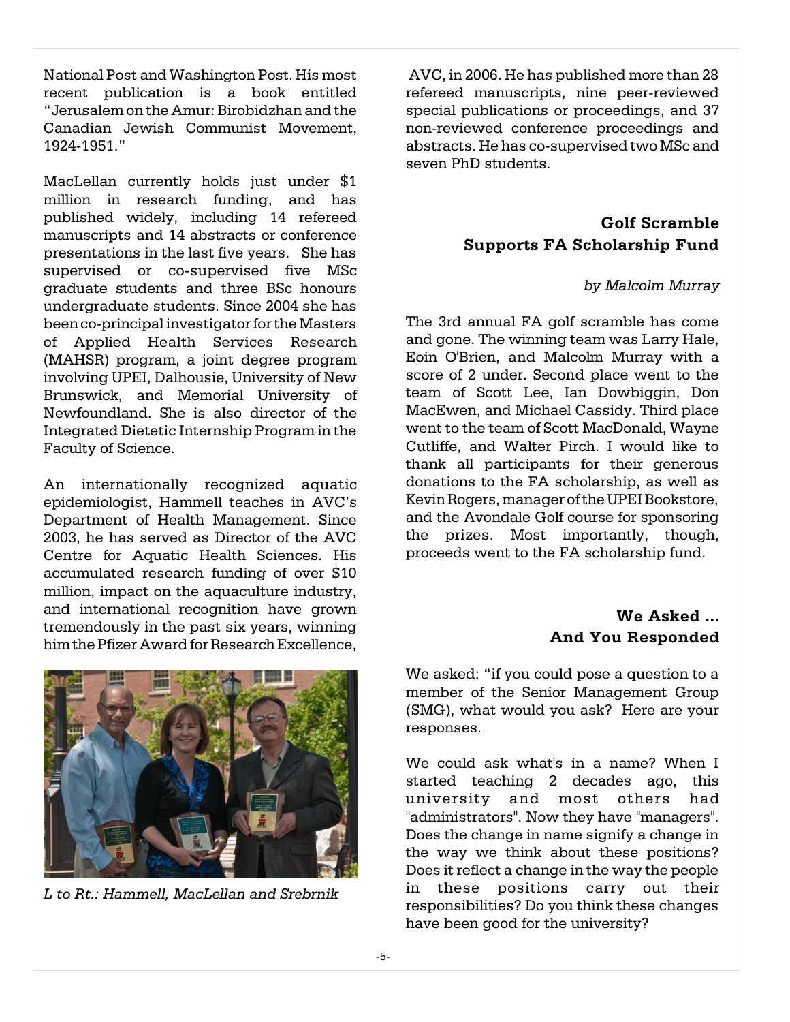National Post and Washington Post. His most recent publication is a book entitled "Jerusalem on the Amur: Birobidzhan and the Canadian Jewish Communist Movement, 1924-1951."

MacLellan currently holds just under \$1 million in research funding, and has published widely, including 14 refereed manuscripts and 14 abstracts or conference presentations in the last five years. She has supervised or co-supervised five MSc graduate students and three BSc honours undergraduate students. Since 2004 she has been co-principal investigator forthe Masters of Applied Health Services Research (MAHSR) program, a joint degree program involving UPEI, Dalhousie, University of New Brunswick, and Memorial University of Newfoundland. She is also director of the Integrated Dietetic Internship Program in the Faculty of Science.

An internationally recognized aquatic epidemiologist, Hammell teaches in AVC's Department of Health Management. Since 2003, he has served as Director of the AVC Centre for Aquatic Health Sciences. His accumulated research funding of over \$10 million, impact on the aquaculture industry, and international recognition have grown tremendously in the past six years, winning him the Pfizer Award for Research Excellence,



*L to Rt.: Hammell, MacLellan and Srebrnik*

AVC, in 2006. He has published more than 28 refereed manuscripts, nine peer-reviewed special publications or proceedings, and 37 non-reviewed conference proceedings and abstracts. He has co-supervised two MSc and seven PhD students.

## **Golf Scramble Supports FA Scholarship Fund**

#### *by Malcolm Murray*

The 3rd annual FA golf scramble has come and gone. The winning team was Larry Hale, Eoin O'Brien, and Malcolm Murray with a score of 2 under. Second place went to the team of Scott Lee, Ian Dowbiggin, Don MacEwen, and Michael Cassidy. Third place went to the team of Scott MacDonald, Wayne Cutliffe, and Walter Pirch. I would like to thank all participants for their generous donations to the FA scholarship, as well as Kevin Rogers, manager of the UPEI Bookstore, and the Avondale Golf course for sponsoring the prizes. Most importantly, though, proceeds went to the FA scholarship fund.

## **We Asked ... And You Responded**

We asked: "if you could pose a question to a member of the Senior Management Group (SMG), what would you ask? Here are your responses.

We could ask what's in a name? When I started teaching 2 decades ago, this university and most others had "administrators". Now they have "managers". Does the change in name signify a change in the way we think about these positions? Does it reflect a change in the way the people in these positions carry out their responsibilities? Do you think these changes have been good for the university?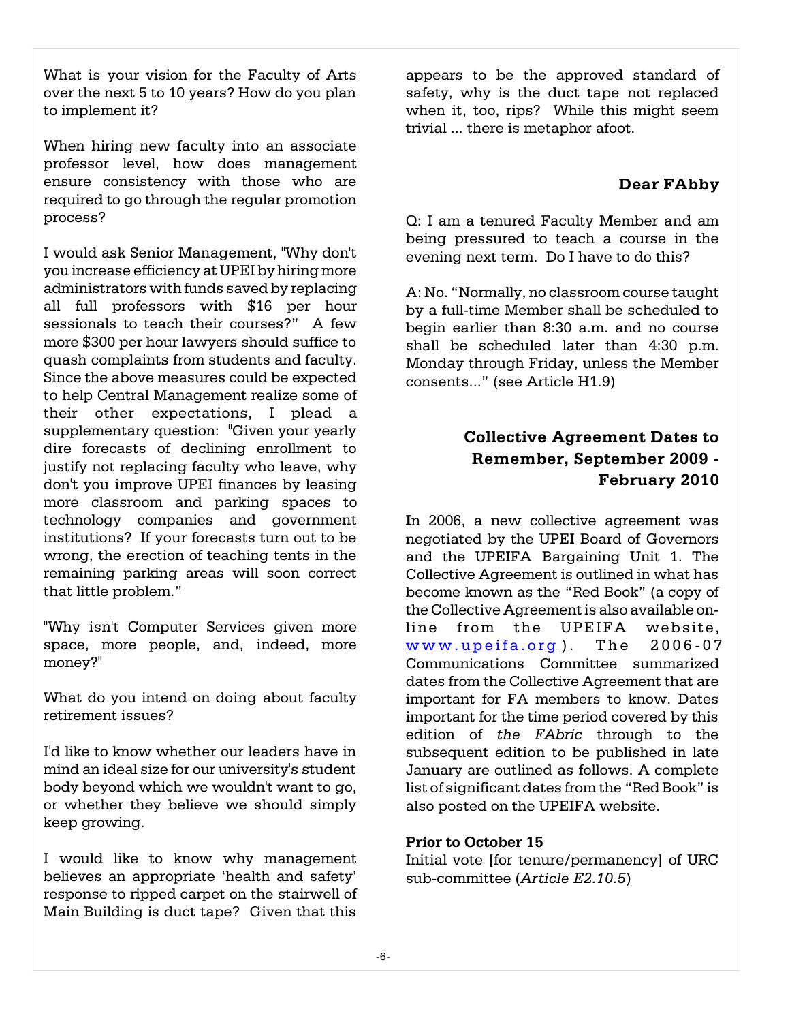What is your vision for the Faculty of Arts over the next 5 to 10 years? How do you plan to implement it?

When hiring new faculty into an associate professor level, how does management ensure consistency with those who are required to go through the regular promotion process?

I would ask Senior Management, "Why don't you increase efficiency at UPEI by hiring more administrators with funds saved by replacing all full professors with \$16 per hour sessionals to teach their courses?" A few more \$300 per hour lawyers should suffice to quash complaints from students and faculty. Since the above measures could be expected to help Central Management realize some of their other expectations, I plead a supplementary question: "Given your yearly dire forecasts of declining enrollment to justify not replacing faculty who leave, why don't you improve UPEI finances by leasing more classroom and parking spaces to technology companies and government institutions? If your forecasts turn out to be wrong, the erection of teaching tents in the remaining parking areas will soon correct that little problem."

"Why isn't Computer Services given more space, more people, and, indeed, more money?"

What do you intend on doing about faculty retirement issues?

I'd like to know whether our leaders have in mind an ideal size for our university's student body beyond which we wouldn't want to go, or whether they believe we should simply keep growing.

I would like to know why management believes an appropriate 'health and safety' response to ripped carpet on the stairwell of Main Building is duct tape? Given that this

appears to be the approved standard of safety, why is the duct tape not replaced when it, too, rips? While this might seem trivial ... there is metaphor afoot.

## **Dear FAbby**

Q: I am a tenured Faculty Member and am being pressured to teach a course in the evening next term. Do I have to do this?

A: No. "Normally, no classroom course taught by a full-time Member shall be scheduled to begin earlier than 8:30 a.m. and no course shall be scheduled later than 4:30 p.m. Monday through Friday, unless the Member consents..." (see Article H1.9)

# **Collective Agreement Dates to Remember, September 2009 - February 2010**

**I**n 2006, a new collective agreement was negotiated by the UPEI Board of Governors and the UPEIFA Bargaining Unit 1. The Collective Agreement is outlined in what has become known as the "Red Book" (a copy of the Collective Agreement is also available online from the UPEIFA website,  $www.upeifa.org)$  $www.upeifa.org)$  $www.upeifa.org)$ . The  $2006-07$ Communications Committee summarized dates from the Collective Agreement that are important for FA members to know. Dates important for the time period covered by this edition of *the FAbric* through to the subsequent edition to be published in late January are outlined as follows. A complete list of significant dates from the "Red Book" is also posted on the UPEIFA website.

#### **Prior to October 15**

Initial vote [for tenure/permanency] of URC sub-committee (*Article E2.10.5*)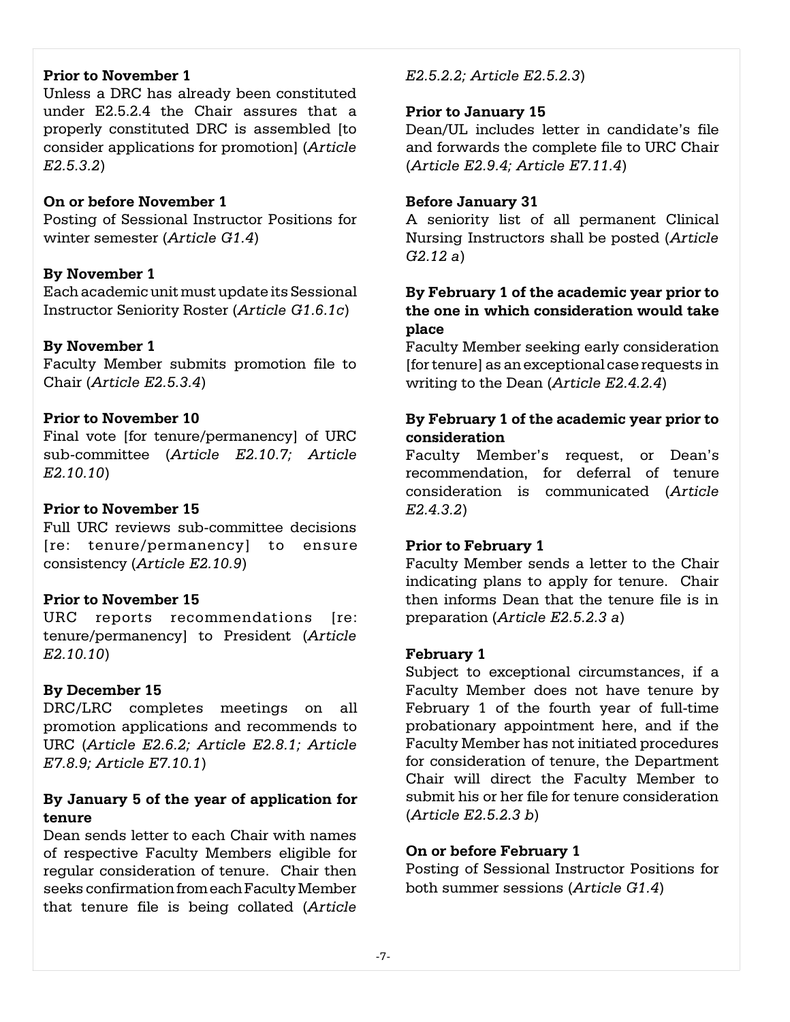#### **Prior to November 1**

Unless a DRC has already been constituted under E2.5.2.4 the Chair assures that a properly constituted DRC is assembled [to consider applications for promotion] (*Article E2.5.3.2*)

#### **On or before November 1**

Posting of Sessional Instructor Positions for winter semester (*Article G1.4*)

#### **By November 1**

Each academic unit must update its Sessional Instructor Seniority Roster (*Article G1.6.1c*)

## **By November 1**

Faculty Member submits promotion file to Chair (*Article E2.5.3.4*)

## **Prior to November 10**

Final vote [for tenure/permanency] of URC sub-committee (*Article E2.10.7; Article E2.10.10*)

#### **Prior to November 15**

Full URC reviews sub-committee decisions [re: tenure/permanency] to ensure consistency (*Article E2.10.9*)

#### **Prior to November 15**

URC reports recommendations [re: tenure/permanency] to President (*Article E2.10.10*)

#### **By December 15**

DRC/LRC completes meetings on all promotion applications and recommends to URC (*Article E2.6.2; Article E2.8.1; Article E7.8.9; Article E7.10.1*)

## **By January 5 of the year of application for tenure**

Dean sends letter to each Chair with names of respective Faculty Members eligible for regular consideration of tenure. Chair then seeks confirmation from each Faculty Member that tenure file is being collated (*Article*

## *E2.5.2.2; Article E2.5.2.3*)

#### **Prior to January 15**

Dean/UL includes letter in candidate's file and forwards the complete file to URC Chair (*Article E2.9.4; Article E7.11.4*)

#### **Before January 31**

A seniority list of all permanent Clinical Nursing Instructors shall be posted (*Article G2.12 a*)

## **By February 1 of the academic year prior to the one in which consideration would take place**

Faculty Member seeking early consideration [for tenure] as an exceptional case requests in writing to the Dean (*Article E2.4.2.4*)

## **By February 1 of the academic year prior to consideration**

Faculty Member's request, or Dean's recommendation, for deferral of tenure consideration is communicated (*Article E2.4.3.2*)

## **Prior to February 1**

Faculty Member sends a letter to the Chair indicating plans to apply for tenure. Chair then informs Dean that the tenure file is in preparation (*Article E2.5.2.3 a*)

#### **February 1**

Subject to exceptional circumstances, if a Faculty Member does not have tenure by February 1 of the fourth year of full-time probationary appointment here, and if the Faculty Member has not initiated procedures for consideration of tenure, the Department Chair will direct the Faculty Member to submit his or her file for tenure consideration (*Article E2.5.2.3 b*)

#### **On or before February 1**

Posting of Sessional Instructor Positions for both summer sessions (*Article G1.4*)